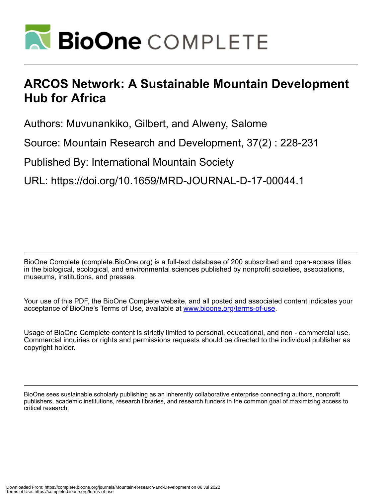

# **ARCOS Network: A Sustainable Mountain Development Hub for Africa**

Authors: Muvunankiko, Gilbert, and Alweny, Salome

Source: Mountain Research and Development, 37(2) : 228-231

Published By: International Mountain Society

URL: https://doi.org/10.1659/MRD-JOURNAL-D-17-00044.1

BioOne Complete (complete.BioOne.org) is a full-text database of 200 subscribed and open-access titles in the biological, ecological, and environmental sciences published by nonprofit societies, associations, museums, institutions, and presses.

Your use of this PDF, the BioOne Complete website, and all posted and associated content indicates your acceptance of BioOne's Terms of Use, available at www.bioone.org/terms-of-use.

Usage of BioOne Complete content is strictly limited to personal, educational, and non - commercial use. Commercial inquiries or rights and permissions requests should be directed to the individual publisher as copyright holder.

BioOne sees sustainable scholarly publishing as an inherently collaborative enterprise connecting authors, nonprofit publishers, academic institutions, research libraries, and research funders in the common goal of maximizing access to critical research.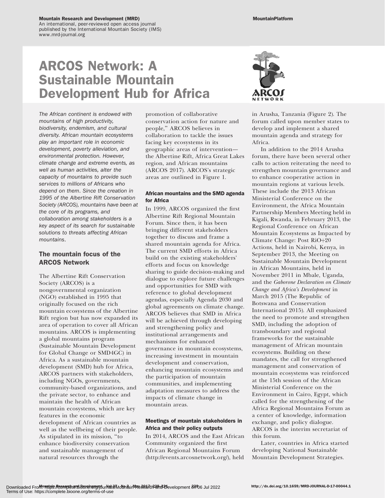#### Mountain Research and Development (MRD)

An international, peer-reviewed open access journal published by the International Mountain Society (IMS) www.mrd-journal.org

# ARCOS Network: A Sustainable Mountain Development Hub for Africa

The African continent is endowed with mountains of high productivity, biodiversity, endemism, and cultural diversity. African mountain ecosystems play an important role in economic development, poverty alleviation, and environmental protection. However, climate change and extreme events, as well as human activities, alter the capacity of mountains to provide such services to millions of Africans who depend on them. Since the creation in 1995 of the Albertine Rift Conservation Society (ARCOS), mountains have been at the core of its programs, and collaboration among stakeholders is a key aspect of its search for sustainable solutions to threats affecting African mountains.

## The mountain focus of the ARCOS Network

The Albertine Rift Conservation Society (ARCOS) is a nongovernmental organization (NGO) established in 1995 that originally focused on the rich mountain ecosystems of the Albertine Rift region but has now expanded its area of operation to cover all African mountains. ARCOS is implementing a global mountains program (Sustainable Mountain Development for Global Change or SMD4GC) in Africa. As a sustainable mountain development (SMD) hub for Africa, ARCOS partners with stakeholders, including NGOs, governments, community-based organizations, and the private sector, to enhance and maintain the health of African mountain ecosystems, which are key features in the economic development of African countries as well as the wellbeing of their people. As stipulated in its mission, ''to enhance biodiversity conservation and sustainable management of natural resources through the

promotion of collaborative conservation action for nature and people,'' ARCOS believes in collaboration to tackle the issues facing key ecosystems in its geographic areas of intervention the Albertine Rift, Africa Great Lakes region, and African mountains (ARCOS 2017). ARCOS's strategic areas are outlined in Figure 1.

### African mountains and the SMD agenda for Africa

In 1999, ARCOS organized the first Albertine Rift Regional Mountain Forum. Since then, it has been bringing different stakeholders together to discuss and frame a shared mountain agenda for Africa. The current SMD efforts in Africa build on the existing stakeholders' efforts and focus on knowledge sharing to guide decision-making and dialogue to explore future challenges and opportunities for SMD with reference to global development agendas, especially Agenda 2030 and global agreements on climate change. ARCOS believes that SMD in Africa will be achieved through developing and strengthening policy and institutional arrangements and mechanisms for enhanced governance in mountain ecosystems, increasing investment in mountain development and conservation, enhancing mountain ecosystems and the participation of mountain communities, and implementing adaptation measures to address the impacts of climate change in mountain areas.

### Meetings of mountain stakeholders in Africa and their policy outputs

In 2014, ARCOS and the East African Community organized the first African Regional Mountains Forum [\(http://events.arcosnetwork.org/\)](http://events.arcosnetwork.org/), held



in Arusha, Tanzania (Figure 2). The forum called upon member states to develop and implement a shared mountain agenda and strategy for Africa.

In addition to the 2014 Arusha forum, there have been several other calls to action reiterating the need to strengthen mountain governance and to enhance cooperative action in mountain regions at various levels. These include the 2013 African Ministerial Conference on the Environment, the Africa Mountain Partnership Members Meeting held in Kigali, Rwanda, in February 2013, the Regional Conference on African Mountain Ecosystems as Impacted by Climate Change: Post  $\rm RiO+20$ Actions, held in Nairobi, Kenya, in September 2013, the Meeting on Sustainable Mountain Development in African Mountains, held in November 2011 in Mbale, Uganda, and the Gaborone Declaration on Climate Change and Africa's Development in March 2015 (The Republic of Botswana and Conservation International 2015). All emphasized the need to promote and strengthen SMD, including the adoption of transboundary and regional frameworks for the sustainable management of African mountain ecosystems. Building on these mandates, the call for strengthened management and conservation of mountain ecosystems was reinforced at the 15th session of the African Ministerial Conference on the Environment in Cairo, Egypt, which called for the strengthening of the Africa Regional Mountains Forum as a center of knowledge, information exchange, and policy dialogue. ARCOS is the interim secretariat of this forum.

Later, countries in Africa started developing National Sustainable Mountain Development Strategies.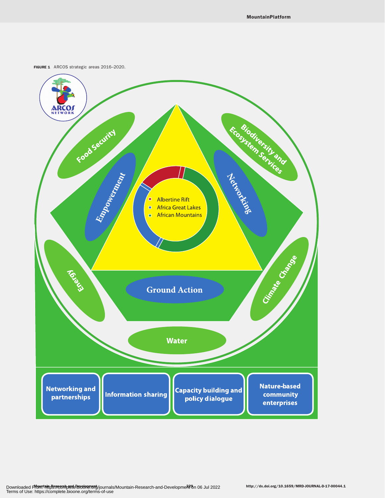FIGURE 1 ARCOS strategic areas 2016-2020.

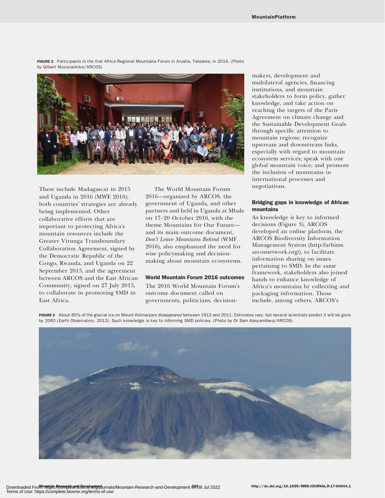FIGURE 2 Participants in the first Africa Regional Mountains Forum in Arusha, Tanzania, in 2014. (Photo by Gilbert Muvunankiko/ARCOS)



These include Madagascar in 2015 and Uganda in 2016 (MWE 2016); both countries' strategies are already being implemented. Other collaborative efforts that are important to protecting Africa's mountain resources include the Greater Virunga Transboundary Collaboration Agreement, signed by the Democratic Republic of the Congo, Rwanda, and Uganda on 22 September 2015, and the agreement between ARCOS and the East African Community, signed on 27 July 2015, to collaborate in promoting SMD in East Africa.

The World Mountain Forum 2016—organized by ARCOS, the government of Uganda, and other partners and held in Uganda at Mbale on 17–20 October 2016, with the theme Mountains for Our Future and its main outcome document, Don't Leave Mountains Behind (WMF 2016), also emphasized the need for wise policymaking and decisionmaking about mountain ecosystems.

#### World Mountain Forum 2016 outcomes

The 2016 World Mountain Forum's outcome document called on governments, politicians, decisionmakers, development and multilateral agencies, financing institutions, and mountain stakeholders to form policy, gather knowledge, and take action on reaching the targets of the Paris Agreement on climate change and the Sustainable Development Goals through specific attention to mountain regions; recognize upstream and downstream links, especially with regard to mountain ecosystem services; speak with one global mountain voice; and promote the inclusion of mountains in international processes and negotiations.

#### Bridging gaps in knowledge of African mountains

As knowledge is key to informed decisions (Figure 3), ARCOS developed an online platform, the ARCOS Biodiversity Information Management System [\(http://arbims.](http://arbims.arcosnetwork.org/) [arcosnetwork.org/\)](http://arbims.arcosnetwork.org/), to facilitate information sharing on issues pertaining to SMD. In the same framework, stakeholders also joined hands to enhance knowledge of Africa's mountains by collecting and packaging information. Those include, among others, ARCOS's

FIGURE 3 About 85% of the glacial ice on Mount Kilimanjaro disappeared between 1912 and 2011. Estimates vary, but several scientists predict it will be gone by 2060 (Earth Observatory, 2012). Such knowledge is key to informing SMD policies. (Photo by Dr Sam Kanyamibwa/ARCOS)